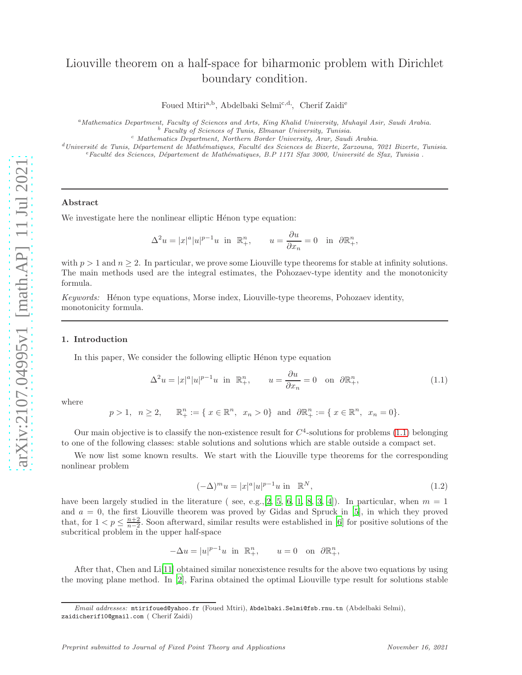# Liouville theorem on a half-space for biharmonic problem with Dirichlet boundary condition.

Foued Mtiri<sup>a,b</sup>, Abdelbaki Selmi<sup>c,d,</sup>, Cherif Zaidi<sup>e</sup>

<sup>a</sup>Mathematics Department, Faculty of Sciences and Arts, King Khalid University, Muhayil Asir, Saudi Arabia.  $b$  Faculty of Sciences of Tunis, Elmanar University, Tunisia.

<sup>c</sup> Mathematics Department, Northern Border University, Arar, Saudi Arabia.

 $d$ Université de Tunis, Département de Mathématiques, Faculté des Sciences de Bizerte, Zarzouna, 7021 Bizerte, Tunisia.  $e$ Faculté des Sciences, Département de Mathématiques, B.P 1171 Sfax 3000, Université de Sfax, Tunisia .

## Abstract

We investigate here the nonlinear elliptic Hénon type equation:

$$
\Delta^2 u = |x|^a |u|^{p-1} u \text{ in } \mathbb{R}^n_+, \qquad u = \frac{\partial u}{\partial x_n} = 0 \text{ in } \partial \mathbb{R}^n_+,
$$

with  $p > 1$  and  $n \geq 2$ . In particular, we prove some Liouville type theorems for stable at infinity solutions. The main methods used are the integral estimates, the Pohozaev-type identity and the monotonicity formula.

*Keywords:* Hénon type equations, Morse index, Liouville-type theorems, Pohozaev identity, monotonicity formula.

#### 1. Introduction

In this paper, We consider the following elliptic Hénon type equation

<span id="page-0-0"></span>
$$
\Delta^2 u = |x|^a |u|^{p-1} u \text{ in } \mathbb{R}^n_+, \qquad u = \frac{\partial u}{\partial x_n} = 0 \quad \text{on } \partial \mathbb{R}^n_+, \tag{1.1}
$$

where

$$
p > 1
$$
,  $n \ge 2$ ,  $\mathbb{R}^n_+ := \{ x \in \mathbb{R}^n, x_n > 0 \}$  and  $\partial \mathbb{R}^n_+ := \{ x \in \mathbb{R}^n, x_n = 0 \}.$ 

Our main objective is to classify the non-existence result for  $C<sup>4</sup>$ -solutions for problems [\(1.1\)](#page-0-0) belonging to one of the following classes: stable solutions and solutions which are stable outside a compact set.

We now list some known results. We start with the Liouville type theorems for the corresponding nonlinear problem

<span id="page-0-1"></span>
$$
(-\Delta)^m u = |x|^a |u|^{p-1} u \text{ in } \mathbb{R}^N,
$$
\n(1.2)

have been largely studied in the literature (see, e.g., [\[2,](#page-16-0) [5,](#page-17-0) [6,](#page-17-1) [1,](#page-16-1) [8,](#page-17-2) [3](#page-16-2), [4](#page-16-3)]). In particular, when  $m = 1$ and  $a = 0$ , the first Liouville theorem was proved by Gidas and Spruck in [\[5\]](#page-17-0), in which they proved that, for  $1 < p \leq \frac{n+2}{n-2}$ . Soon afterward, similar results were established in [\[6](#page-17-1)] for positive solutions of the subcritical problem in the upper half-space

> $-\Delta u = |u|^{p-1}u$  in  $\mathbb{R}^n_+$  $u = 0$  on  $\partial \mathbb{R}^n_+,$

After that, Chen and Li[\[11\]](#page-17-3) obtained similar nonexistence results for the above two equations by using the moving plane method. In [\[2\]](#page-16-0), Farina obtained the optimal Liouville type result for solutions stable

Email addresses: mtirifoued@yahoo.fr (Foued Mtiri), Abdelbaki.Selmi@fsb.rnu.tn (Abdelbaki Selmi), zaidicherif10@gmail.com ( Cherif Zaidi)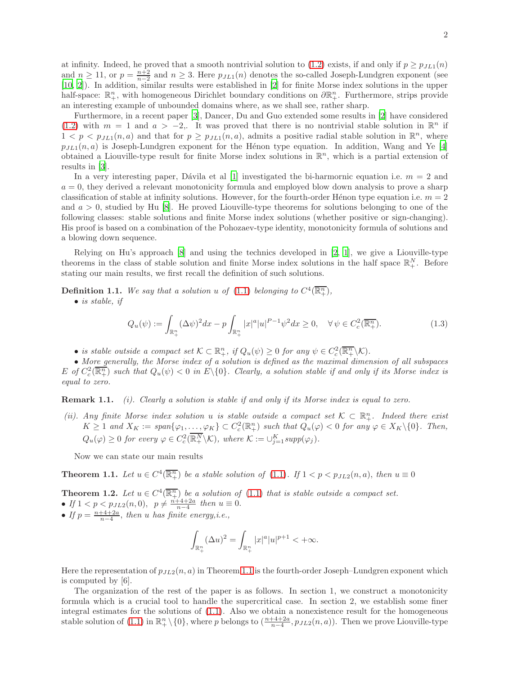at infinity. Indeed, he proved that a smooth nontrivial solution to [\(1.2\)](#page-0-1) exists, if and only if  $p \ge p_{LL1}(n)$ and  $n \ge 11$ , or  $p = \frac{n+2}{n-2}$  and  $n \ge 3$ . Here  $p_{JL1}(n)$  denotes the so-called Joseph-Lundgren exponent (see [\[10,](#page-17-4) [2\]](#page-16-0)). In addition, similar results were established in [\[2\]](#page-16-0) for finite Morse index solutions in the upper half-space:  $\mathbb{R}^n_+$ , with homogeneous Dirichlet boundary conditions on  $\partial \mathbb{R}^n_+$ . Furthermore, strips provide an interesting example of unbounded domains where, as we shall see, rather sharp.

Furthermore, in a recent paper [\[3\]](#page-16-2), Dancer, Du and Guo extended some results in [\[2\]](#page-16-0) have considered [\(1.2\)](#page-0-1) with  $m = 1$  and  $a > -2$ . It was proved that there is no nontrivial stable solution in  $\mathbb{R}^n$  if  $1 < p < p_{JL1}(n, a)$  and that for  $p \geq p_{JL1}(n, a)$ , admits a positive radial stable solution in  $\mathbb{R}^n$ , where  $p_{JL1}(n, a)$  is Joseph-Lundgren exponent for the Hénon type equation. In addition, Wang and Ye [\[4\]](#page-16-3) obtained a Liouville-type result for finite Morse index solutions in  $\mathbb{R}^n$ , which is a partial extension of results in [\[3\]](#page-16-2).

In a very interesting paper, Dávila et al [\[1](#page-16-1)] investigated the bi-harmornic equation i.e.  $m = 2$  and  $a = 0$ , they derived a relevant monotonicity formula and employed blow down analysis to prove a sharp classification of stable at infinity solutions. However, for the fourth-order Hénon type equation i.e.  $m = 2$ and  $a > 0$ , studied by Hu [\[8\]](#page-17-2). He proved Liouville-type theorems for solutions belonging to one of the following classes: stable solutions and finite Morse index solutions (whether positive or sign-changing). His proof is based on a combination of the Pohozaev-type identity, monotonicity formula of solutions and a blowing down sequence.

Relying on Hu's approach [\[8\]](#page-17-2) and using the technics developed in [\[2](#page-16-0), [1](#page-16-1)], we give a Liouville-type theorems in the class of stable solution and finite Morse index solutions in the half space  $\mathbb{R}^N_+$ . Before stating our main results, we first recall the definition of such solutions.

**Definition 1.1.** We say that a solution u of [\(1.1\)](#page-0-0) belonging to  $C^4(\overline{\mathbb{R}^n_+})$ ,

• *is stable, if*

<span id="page-1-2"></span>
$$
Q_u(\psi) := \int_{\mathbb{R}^n_+} (\Delta \psi)^2 dx - p \int_{\mathbb{R}^n_+} |x|^a |u|^{P-1} \psi^2 dx \ge 0, \quad \forall \psi \in C_c^2(\overline{\mathbb{R}^n_+}).
$$
 (1.3)

• *is stable outside a compact set*  $\mathcal{K} \subset \mathbb{R}^n_+$ *, if*  $Q_u(\psi) \geq 0$  *for any*  $\psi \in C_c^2(\overline{\mathbb{R}^n_+}\setminus\mathcal{K})$ *.* 

• *More generally, the Morse index of a solution is defined as the maximal dimension of all subspaces*  $E$  of  $C_c^2(\overline{\mathbb{R}^n_+})$  such that  $Q_u(\psi) < 0$  in  $E \setminus \{0\}$ . Clearly, a solution stable if and only if its Morse index is *equal to zero.*

Remark 1.1. *(i). Clearly a solution is stable if and only if its Morse index is equal to zero.*

*(ii). Any finite Morse index solution* u *is stable outside* a compact set  $K \subset \mathbb{R}^n_+$ *. Indeed there exist*  $K \geq 1$  and  $X_K := \text{span}\{\varphi_1, \ldots, \varphi_K\} \subset C_c^2(\mathbb{R}^n_+)$  such that  $Q_u(\varphi) < 0$  for any  $\varphi \in X_K \setminus \{0\}$ . Then,  $Q_u(\varphi) \geq 0$  for every  $\varphi \in C_c^2(\overline{\mathbb{R}^N_+} \setminus \mathcal{K})$ , where  $\mathcal{K} := \bigcup_{j=1}^K supp(\varphi_j)$ .

<span id="page-1-0"></span>Now we can state our main results

**Theorem 1.1.** Let  $u \in C^4(\overline{\mathbb{R}^n_+})$  be a stable solution of [\(1.1\)](#page-0-0). If  $1 < p < p_{JL2}(n, a)$ , then  $u \equiv 0$ 

<span id="page-1-1"></span>**Theorem 1.2.** Let  $u \in C^4(\overline{\mathbb{R}^n_+})$  be a solution of [\(1.1\)](#page-0-0) that is stable outside a compact set. • If  $1 < p < p_{JL2}(n, 0)$ ,  $p \neq \frac{n+4+2a}{n-4}$  then  $u \equiv 0$ .

• If  $p = \frac{n+4+2a}{n-4}$ , then u has finite energy, *i.e.*,

$$
\int_{\mathbb{R}^n_+} (\Delta u)^2 = \int_{\mathbb{R}^n_+} |x|^a |u|^{p+1} < +\infty.
$$

Here the representation of  $p_{JL2}(n, a)$  in Theorem [1.1](#page-1-0) is the fourth-order Joseph–Lundgren exponent which is computed by [6].

The organization of the rest of the paper is as follows. In section 1, we construct a monotonicity formula which is a crucial tool to handle the supercritical case. In section 2, we establish some finer integral estimates for the solutions of [\(1.1\)](#page-0-0). Also we obtain a nonexistence result for the homogeneous stable solution of  $(1.1)$  in  $\mathbb{R}^n_+\setminus\{0\}$ , where p belongs to  $(\frac{n+4+2a}{n-4}, p_{JL2}(n, a))$ . Then we prove Liouville-type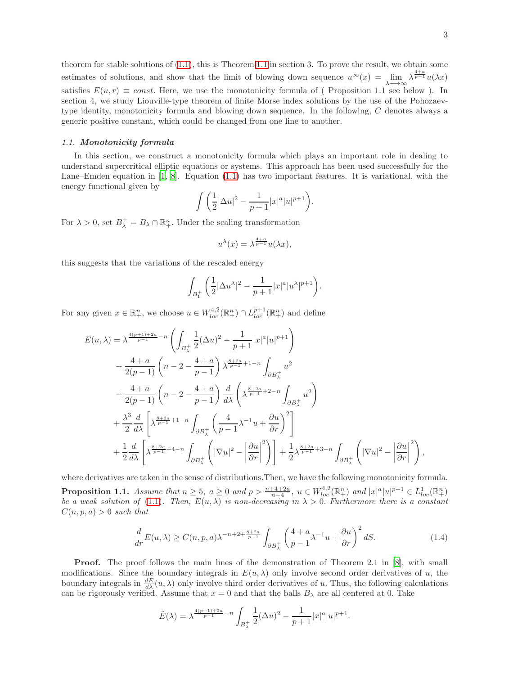#### *1.1.* Monotonicity formula

In this section, we construct a monotonicity formula which plays an important role in dealing to understand supercritical elliptic equations or systems. This approach has been used successfully for the Lane–Emden equation in [\[1,](#page-16-1) [8\]](#page-17-2). Equation [\(1.1\)](#page-0-0) has two important features. It is variational, with the energy functional given by

$$
\int \left(\frac{1}{2}|\Delta u|^2 - \frac{1}{p+1}|x|^a|u|^{p+1}\right).
$$

For  $\lambda > 0$ , set  $B_{\lambda}^+ = B_{\lambda} \cap \mathbb{R}^n_+$ . Under the scaling transformation

$$
u^{\lambda}(x) = \lambda^{\frac{4+a}{p-1}} u(\lambda x),
$$

this suggests that the variations of the rescaled energy

$$
\int_{B_1^+} \left(\frac{1}{2}|\Delta u^\lambda|^2 - \frac{1}{p+1}|x|^a|u^\lambda|^{p+1}\right).
$$

For any given  $x \in \mathbb{R}^n_+$ , we choose  $u \in W^{4,2}_{loc}(\mathbb{R}^n_+) \cap L^{p+1}_{loc}(\mathbb{R}^n_+)$  and define

$$
E(u, \lambda) = \lambda^{\frac{4(p+1)+2a}{p-1} - n} \left( \int_{B_{\lambda}^{+}} \frac{1}{2} (\Delta u)^{2} - \frac{1}{p+1} |x|^{a} |u|^{p+1} \right)
$$
  
+ 
$$
\frac{4+a}{2(p-1)} \left( n - 2 - \frac{4+a}{p-1} \right) \lambda^{\frac{8+2a}{p-1} + 1 - n} \int_{\partial B_{\lambda}^{+}} u^{2}
$$
  
+ 
$$
\frac{4+a}{2(p-1)} \left( n - 2 - \frac{4+a}{p-1} \right) \frac{d}{d\lambda} \left( \lambda^{\frac{8+2a}{p-1} + 2 - n} \int_{\partial B_{\lambda}^{+}} u^{2} \right)
$$
  
+ 
$$
\frac{\lambda^{3}}{2} \frac{d}{d\lambda} \left[ \lambda^{\frac{8+2a}{p-1} + 1 - n} \int_{\partial B_{\lambda}^{+}} \left( \frac{4}{p-1} \lambda^{-1} u + \frac{\partial u}{\partial r} \right)^{2} \right]
$$
  
+ 
$$
\frac{1}{2} \frac{d}{d\lambda} \left[ \lambda^{\frac{8+2a}{p-1} + 4 - n} \int_{\partial B_{\lambda}^{+}} \left( |\nabla u|^{2} - \left| \frac{\partial u}{\partial r} \right|^{2} \right) \right] + \frac{1}{2} \lambda^{\frac{8+2a}{p-1} + 3 - n} \int_{\partial B_{\lambda}^{+}} \left( |\nabla u|^{2} - \left| \frac{\partial u}{\partial r} \right|^{2} \right),
$$

where derivatives are taken in the sense of distributions.Then, we have the following monotonicity formula. **Proposition 1.1.** Assume that  $n \geq 5$ ,  $a \geq 0$  and  $p > \frac{n+4+2a}{n-4}$ ,  $u \in W_{loc}^{4,2}(\mathbb{R}^n_+)$  and  $|x|^a|u|^{p+1} \in L^1_{loc}(\mathbb{R}^n_+)$ *be a weak solution of* [\(1.1\)](#page-0-0). Then,  $E(u, \lambda)$  *is non-decreasing in*  $\lambda > 0$ . Furthermore there is a constant  $C(n, p, a) > 0$  *such that* 

<span id="page-2-0"></span>
$$
\frac{d}{dr}E(u,\lambda) \ge C(n,p,a)\lambda^{-n+2+\frac{8+2a}{p-1}} \int_{\partial B_{\lambda}^+} \left(\frac{4+a}{p-1}\lambda^{-1}u + \frac{\partial u}{\partial r}\right)^2 dS. \tag{1.4}
$$

**Proof.** The proof follows the main lines of the demonstration of Theorem 2.1 in [\[8\]](#page-17-2), with small modifications. Since the boundary integrals in  $E(u, \lambda)$  only involve second order derivatives of u, the boundary integrals in  $\frac{dE}{d\lambda}(u,\lambda)$  only involve third order derivatives of u. Thus, the following calculations can be rigorously verified. Assume that  $x = 0$  and that the balls  $B<sub>\lambda</sub>$  are all centered at 0. Take

$$
\tilde{E}(\lambda) = \lambda^{\frac{4(p+1)+2a}{p-1} - n} \int_{B_{\lambda}^+} \frac{1}{2} (\Delta u)^2 - \frac{1}{p+1} |x|^a |u|^{p+1}.
$$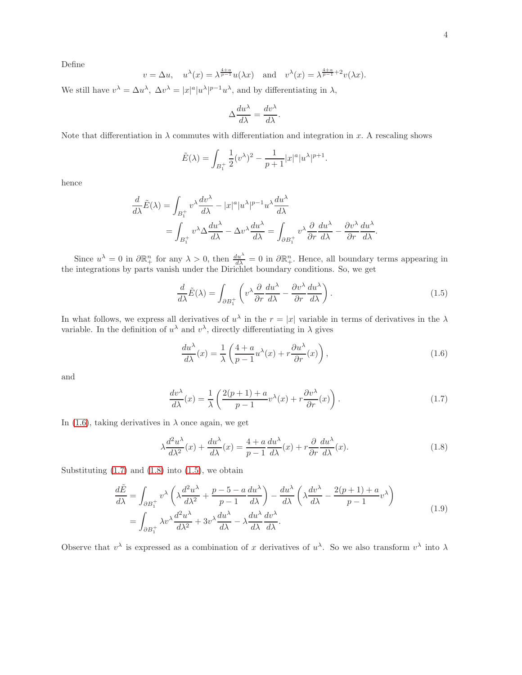Define

$$
v = \Delta u
$$
,  $u^{\lambda}(x) = \lambda^{\frac{4+a}{p-1}} u(\lambda x)$  and  $v^{\lambda}(x) = \lambda^{\frac{4+a}{p-1}+2} v(\lambda x)$ .

We still have  $v^{\lambda} = \Delta u^{\lambda}$ ,  $\Delta v^{\lambda} = |x|^a |u^{\lambda}|^{p-1} u^{\lambda}$ , and by differentiating in  $\lambda$ ,

$$
\Delta \frac{du^{\lambda}}{d\lambda} = \frac{dv^{\lambda}}{d\lambda}.
$$

Note that differentiation in  $\lambda$  commutes with differentiation and integration in x. A rescaling shows

$$
\tilde{E}(\lambda) = \int_{B_1^+} \frac{1}{2} (v^{\lambda})^2 - \frac{1}{p+1} |x|^a |u^{\lambda}|^{p+1}.
$$

hence

$$
\frac{d}{d\lambda}\tilde{E}(\lambda) = \int_{B_1^+} v^{\lambda} \frac{dv^{\lambda}}{d\lambda} - |x|^a |u^{\lambda}|^{p-1} u^{\lambda} \frac{du^{\lambda}}{d\lambda}
$$

$$
= \int_{B_1^+} v^{\lambda} \Delta \frac{du^{\lambda}}{d\lambda} - \Delta v^{\lambda} \frac{du^{\lambda}}{d\lambda} = \int_{\partial B_1^+} v^{\lambda} \frac{\partial}{\partial r} \frac{du^{\lambda}}{d\lambda} - \frac{\partial v^{\lambda}}{\partial r} \frac{du^{\lambda}}{d\lambda}.
$$

Since  $u^{\lambda} = 0$  in  $\partial \mathbb{R}_{+}^{n}$  for any  $\lambda > 0$ , then  $\frac{du^{\lambda}}{d\lambda} = 0$  in  $\partial \mathbb{R}_{+}^{n}$ . Hence, all boundary terms appearing in the integrations by parts vanish under the Dirichlet boundary conditions. So, we get

<span id="page-3-3"></span>
$$
\frac{d}{d\lambda}\tilde{E}(\lambda) = \int_{\partial B_1^+} \left( v^\lambda \frac{\partial}{\partial r} \frac{du^\lambda}{d\lambda} - \frac{\partial v^\lambda}{\partial r} \frac{du^\lambda}{d\lambda} \right). \tag{1.5}
$$

In what follows, we express all derivatives of  $u^{\lambda}$  in the  $r = |x|$  variable in terms of derivatives in the  $\lambda$ variable. In the definition of  $u^{\lambda}$  and  $v^{\lambda}$ , directly differentiating in  $\lambda$  gives

<span id="page-3-1"></span><span id="page-3-0"></span>
$$
\frac{du^{\lambda}}{d\lambda}(x) = \frac{1}{\lambda} \left( \frac{4+a}{p-1} u^{\lambda}(x) + r \frac{\partial u^{\lambda}}{\partial r}(x) \right),\tag{1.6}
$$

and

<span id="page-3-2"></span>
$$
\frac{dv^{\lambda}}{d\lambda}(x) = \frac{1}{\lambda} \left( \frac{2(p+1) + a}{p-1} v^{\lambda}(x) + r \frac{\partial v^{\lambda}}{\partial r}(x) \right). \tag{1.7}
$$

In [\(1.6\)](#page-3-0), taking derivatives in  $\lambda$  once again, we get

<span id="page-3-4"></span>
$$
\lambda \frac{d^2 u^{\lambda}}{d\lambda^2}(x) + \frac{du^{\lambda}}{d\lambda}(x) = \frac{4 + a}{p - 1} \frac{du^{\lambda}}{d\lambda}(x) + r \frac{\partial}{\partial r} \frac{du^{\lambda}}{d\lambda}(x).
$$
 (1.8)

Substituting  $(1.7)$  and  $(1.8)$  into  $(1.5)$ , we obtain

$$
\frac{d\tilde{E}}{d\lambda} = \int_{\partial B_1^+} v^\lambda \left( \lambda \frac{d^2 u^\lambda}{d\lambda^2} + \frac{p - 5 - a}{p - 1} \frac{du^\lambda}{d\lambda} \right) - \frac{du^\lambda}{d\lambda} \left( \lambda \frac{dv^\lambda}{d\lambda} - \frac{2(p + 1) + a}{p - 1} v^\lambda \right)
$$
  
= 
$$
\int_{\partial B_1^+} \lambda v^\lambda \frac{d^2 u^\lambda}{d\lambda^2} + 3v^\lambda \frac{du^\lambda}{d\lambda} - \lambda \frac{du^\lambda}{d\lambda} \frac{dv^\lambda}{d\lambda}.
$$
 (1.9)

Observe that  $v^{\lambda}$  is expressed as a combination of x derivatives of  $u^{\lambda}$ . So we also transform  $v^{\lambda}$  into  $\lambda$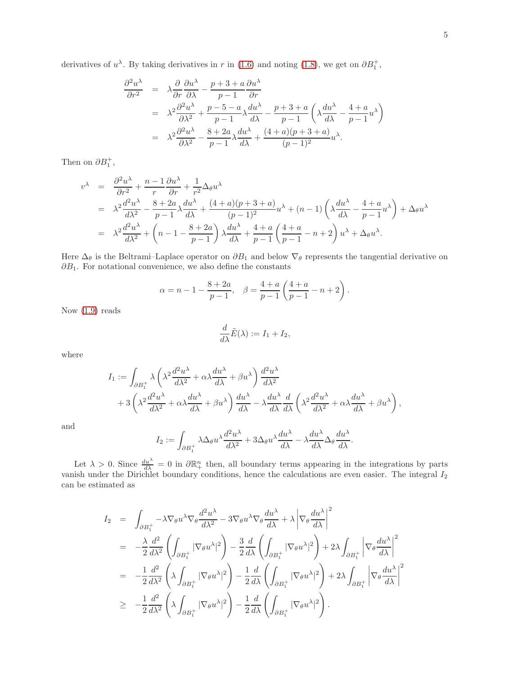$$
\frac{\partial^2 u^{\lambda}}{\partial r^2} = \lambda \frac{\partial}{\partial r} \frac{\partial u^{\lambda}}{\partial \lambda} - \frac{p+3+a}{p-1} \frac{\partial u^{\lambda}}{\partial r}
$$
  
\n
$$
= \lambda^2 \frac{\partial^2 u^{\lambda}}{\partial \lambda^2} + \frac{p-5-a}{p-1} \lambda \frac{du^{\lambda}}{d\lambda} - \frac{p+3+a}{p-1} \left( \lambda \frac{du^{\lambda}}{d\lambda} - \frac{4+a}{p-1} u^{\lambda} \right)
$$
  
\n
$$
= \lambda^2 \frac{\partial^2 u^{\lambda}}{\partial \lambda^2} - \frac{8+2a}{p-1} \lambda \frac{du^{\lambda}}{d\lambda} + \frac{(4+a)(p+3+a)}{(p-1)^2} u^{\lambda}.
$$

Then on  $\partial B_1^+,$ 

$$
v^{\lambda} = \frac{\partial^2 u^{\lambda}}{\partial r^2} + \frac{n-1}{r} \frac{\partial u^{\lambda}}{\partial r} + \frac{1}{r^2} \Delta_{\theta} u^{\lambda}
$$
  
=  $\lambda^2 \frac{d^2 u^{\lambda}}{d\lambda^2} - \frac{8+2a}{p-1} \lambda \frac{du^{\lambda}}{d\lambda} + \frac{(4+a)(p+3+a)}{(p-1)^2} u^{\lambda} + (n-1) \left( \lambda \frac{du^{\lambda}}{d\lambda} - \frac{4+a}{p-1} u^{\lambda} \right) + \Delta_{\theta} u^{\lambda}$   
=  $\lambda^2 \frac{d^2 u^{\lambda}}{d\lambda^2} + \left( n - 1 - \frac{8+2a}{p-1} \right) \lambda \frac{du^{\lambda}}{d\lambda} + \frac{4+a}{p-1} \left( \frac{4+a}{p-1} - n + 2 \right) u^{\lambda} + \Delta_{\theta} u^{\lambda}.$ 

Here  $\Delta_{\theta}$  is the Beltrami–Laplace operator on  $\partial B_1$  and below  $\nabla_{\theta}$  represents the tangential derivative on  $\partial B_1$ . For notational convenience, we also define the constants

$$
\alpha = n - 1 - \frac{8 + 2a}{p - 1}, \quad \beta = \frac{4 + a}{p - 1} \left( \frac{4 + a}{p - 1} - n + 2 \right).
$$

Now [\(1.9\)](#page-3-4) reads

$$
\frac{d}{d\lambda}\tilde{E}(\lambda) := I_1 + I_2,
$$

where

$$
I_1 := \int_{\partial B_1^+} \lambda \left( \lambda^2 \frac{d^2 u^{\lambda}}{d\lambda^2} + \alpha \lambda \frac{du^{\lambda}}{d\lambda} + \beta u^{\lambda} \right) \frac{d^2 u^{\lambda}}{d\lambda^2} + 3 \left( \lambda^2 \frac{d^2 u^{\lambda}}{d\lambda^2} + \alpha \lambda \frac{du^{\lambda}}{d\lambda} + \beta u^{\lambda} \right) \frac{du^{\lambda}}{d\lambda} - \lambda \frac{du^{\lambda}}{d\lambda} \frac{d}{d\lambda} \left( \lambda^2 \frac{d^2 u^{\lambda}}{d\lambda^2} + \alpha \lambda \frac{du^{\lambda}}{d\lambda} + \beta u^{\lambda} \right),
$$

and

$$
I_2 := \int_{\partial B_1^+} \lambda \Delta_\theta u^\lambda \frac{d^2 u^\lambda}{d\lambda^2} + 3 \Delta_\theta u^\lambda \frac{du^\lambda}{d\lambda} - \lambda \frac{du^\lambda}{d\lambda} \Delta_\theta \frac{du^\lambda}{d\lambda}.
$$

Let  $\lambda > 0$ . Since  $\frac{du^{\lambda}}{d\lambda} = 0$  in  $\partial \mathbb{R}^{n}_{+}$  then, all boundary terms appearing in the integrations by parts vanish under the Dirichlet boundary conditions, hence the calculations are even easier. The integral  $I_2$ can be estimated as

$$
I_2 = \int_{\partial B_1^+} -\lambda \nabla_{\theta} u^{\lambda} \nabla_{\theta} \frac{d^2 u^{\lambda}}{d\lambda^2} - 3 \nabla_{\theta} u^{\lambda} \nabla_{\theta} \frac{du^{\lambda}}{d\lambda} + \lambda \left| \nabla_{\theta} \frac{du^{\lambda}}{d\lambda} \right|^2
$$
  
\n
$$
= -\frac{\lambda}{2} \frac{d^2}{d\lambda^2} \left( \int_{\partial B_1^+} |\nabla_{\theta} u^{\lambda}|^2 \right) - \frac{3}{2} \frac{d}{d\lambda} \left( \int_{\partial B_1^+} |\nabla_{\theta} u^{\lambda}|^2 \right) + 2 \lambda \int_{\partial B_1^+} \left| \nabla_{\theta} \frac{du^{\lambda}}{d\lambda} \right|^2
$$
  
\n
$$
= -\frac{1}{2} \frac{d^2}{d\lambda^2} \left( \lambda \int_{\partial B_1^+} |\nabla_{\theta} u^{\lambda}|^2 \right) - \frac{1}{2} \frac{d}{d\lambda} \left( \int_{\partial B_1^+} |\nabla_{\theta} u^{\lambda}|^2 \right) + 2 \lambda \int_{\partial B_1^+} \left| \nabla_{\theta} \frac{du^{\lambda}}{d\lambda} \right|^2
$$
  
\n
$$
\geq -\frac{1}{2} \frac{d^2}{d\lambda^2} \left( \lambda \int_{\partial B_1^+} |\nabla_{\theta} u^{\lambda}|^2 \right) - \frac{1}{2} \frac{d}{d\lambda} \left( \int_{\partial B_1^+} |\nabla_{\theta} u^{\lambda}|^2 \right).
$$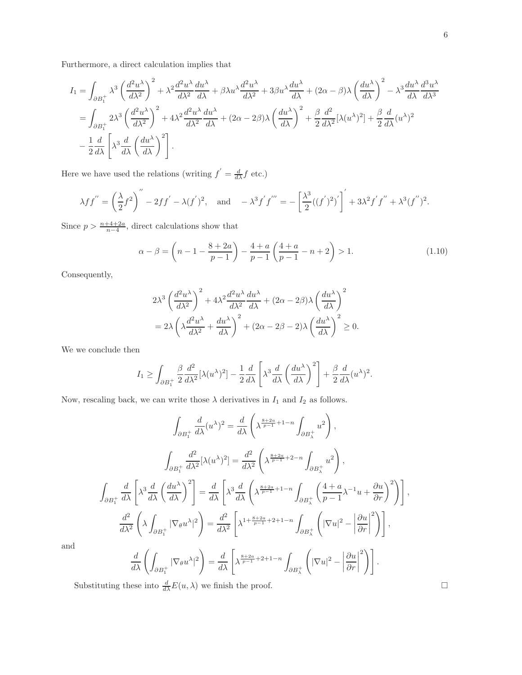Furthermore, a direct calculation implies that

$$
I_{1} = \int_{\partial B_{1}^{+}} \lambda^{3} \left(\frac{d^{2}u^{\lambda}}{d\lambda^{2}}\right)^{2} + \lambda^{2} \frac{d^{2}u^{\lambda}}{d\lambda^{2}} \frac{du^{\lambda}}{d\lambda} + \beta \lambda u^{\lambda} \frac{d^{2}u^{\lambda}}{d\lambda^{2}} + 3\beta u^{\lambda} \frac{du^{\lambda}}{d\lambda} + (2\alpha - \beta) \lambda \left(\frac{du^{\lambda}}{d\lambda}\right)^{2} - \lambda^{3} \frac{du^{\lambda}}{d\lambda} \frac{d^{3}u^{\lambda}}{d\lambda^{3}}
$$
  
= 
$$
\int_{\partial B_{1}^{+}} 2\lambda^{3} \left(\frac{d^{2}u^{\lambda}}{d\lambda^{2}}\right)^{2} + 4\lambda^{2} \frac{d^{2}u^{\lambda}}{d\lambda^{2}} \frac{du^{\lambda}}{d\lambda} + (2\alpha - 2\beta) \lambda \left(\frac{du^{\lambda}}{d\lambda}\right)^{2} + \frac{\beta}{2} \frac{d^{2}}{d\lambda^{2}} [\lambda(u^{\lambda})^{2}] + \frac{\beta}{2} \frac{d}{d\lambda} (u^{\lambda})^{2}
$$
  

$$
- \frac{1}{2} \frac{d}{d\lambda} \left[\lambda^{3} \frac{d}{d\lambda} \left(\frac{du^{\lambda}}{d\lambda}\right)^{2}\right].
$$

Here we have used the relations (writing  $f' = \frac{d}{d\lambda} f$  etc.)

$$
\lambda f f'' = \left(\frac{\lambda}{2} f^2\right)'' - 2ff' - \lambda(f')^2
$$
, and  $-\lambda^3 f' f''' = -\left[\frac{\lambda^3}{2}((f')^2)'\right]' + 3\lambda^2 f' f'' + \lambda^3 (f'')^2$ .

Since  $p > \frac{n+4+2a}{n-4}$ , direct calculations show that

$$
\alpha - \beta = \left(n - 1 - \frac{8 + 2a}{p - 1}\right) - \frac{4 + a}{p - 1} \left(\frac{4 + a}{p - 1} - n + 2\right) > 1.
$$
\n(1.10)

Consequently,

$$
2\lambda^3 \left(\frac{d^2 u^{\lambda}}{d\lambda^2}\right)^2 + 4\lambda^2 \frac{d^2 u^{\lambda}}{d\lambda^2} \frac{du^{\lambda}}{d\lambda} + (2\alpha - 2\beta)\lambda \left(\frac{du^{\lambda}}{d\lambda}\right)^2
$$
  
= 
$$
2\lambda \left(\lambda \frac{d^2 u^{\lambda}}{d\lambda^2} + \frac{du^{\lambda}}{d\lambda}\right)^2 + (2\alpha - 2\beta - 2)\lambda \left(\frac{du^{\lambda}}{d\lambda}\right)^2 \ge 0.
$$

We we conclude then

$$
I_1 \geq \int_{\partial B_1^+} \frac{\beta}{2} \frac{d^2}{d\lambda^2} [\lambda(u^{\lambda})^2] - \frac{1}{2} \frac{d}{d\lambda} \left[ \lambda^3 \frac{d}{d\lambda} \left( \frac{du^{\lambda}}{d\lambda} \right)^2 \right] + \frac{\beta}{2} \frac{d}{d\lambda} (u^{\lambda})^2.
$$

Now, rescaling back, we can write those  $\lambda$  derivatives in  $I_1$  and  $I_2$  as follows.

$$
\int_{\partial B_{1}^{+}} \frac{d}{d\lambda} (u^{\lambda})^{2} = \frac{d}{d\lambda} \left( \lambda^{\frac{8+2a}{p-1}+1-n} \int_{\partial B_{\lambda}^{+}} u^{2} \right),
$$
\n
$$
\int_{\partial B_{1}^{+}} \frac{d^{2}}{d\lambda^{2}} [\lambda(u^{\lambda})^{2}] = \frac{d^{2}}{d\lambda^{2}} \left( \lambda^{\frac{8+2a}{p-1}+2-n} \int_{\partial B_{\lambda}^{+}} u^{2} \right),
$$
\n
$$
\int_{\partial B_{1}^{+}} \frac{d}{d\lambda} \left[ \lambda^{3} \frac{d}{d\lambda} \left( \frac{du^{\lambda}}{d\lambda} \right)^{2} \right] = \frac{d}{d\lambda} \left[ \lambda^{3} \frac{d}{d\lambda} \left( \lambda^{\frac{8+2a}{p-1}+1-n} \int_{\partial B_{\lambda}^{+}} \left( \frac{4+a}{p-1} \lambda^{-1} u + \frac{\partial u}{\partial r} \right)^{2} \right) \right],
$$
\n
$$
\frac{d^{2}}{d\lambda^{2}} \left( \lambda \int_{\partial B_{1}^{+}} |\nabla_{\theta} u^{\lambda}|^{2} \right) = \frac{d^{2}}{d\lambda^{2}} \left[ \lambda^{1+\frac{8+2a}{p-1}+2+1-n} \int_{\partial B_{\lambda}^{+}} \left( |\nabla u|^{2} - \left| \frac{\partial u}{\partial r} \right|^{2} \right) \right],
$$
\n
$$
\frac{d}{d\lambda} \left( \int_{\partial B_{1}^{+}} |\nabla_{\theta} u^{\lambda}|^{2} \right) = \frac{d}{d\lambda} \left[ \lambda^{\frac{8+2a}{p-1}+2+1-n} \int_{\partial B_{\lambda}^{+}} \left( |\nabla u|^{2} - \left| \frac{\partial u}{\partial r} \right|^{2} \right) \right].
$$

 $\partial B_\lambda^+$ 

and

Substituting these into  $\frac{d}{d\lambda}E(u,\lambda)$  we finish the proof.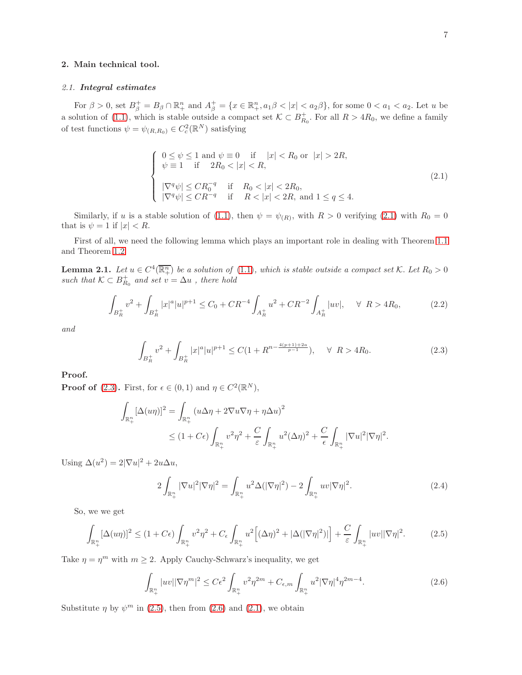## 2. Main technical tool.

#### *2.1.* Integral estimates

For  $\beta > 0$ , set  $B_{\beta}^+ = B_{\beta} \cap \mathbb{R}^n_+$  and  $A_{\beta}^+ = \{x \in \mathbb{R}^n_+, a_1\beta < |x| < a_2\beta\}$ , for some  $0 < a_1 < a_2$ . Let u be a solution of [\(1.1\)](#page-0-0), which is stable outside a compact set  $\mathcal{K} \subset B_{R_0}^+$ . For all  $R > 4R_0$ , we define a family of test functions  $\psi = \psi_{(R,R_0)} \in C_c^2(\mathbb{R}^N)$  satisfying

<span id="page-6-0"></span>
$$
\begin{cases}\n0 \le \psi \le 1 \text{ and } \psi \equiv 0 \quad \text{if} \quad |x| < R_0 \text{ or } |x| > 2R, \\
\psi \equiv 1 \quad \text{if} \quad 2R_0 < |x| < R, \\
|\nabla^q \psi| \le CR_0^{-q} \quad \text{if} \quad R_0 < |x| < 2R_0, \\
|\nabla^q \psi| \le CR^{-q} \quad \text{if} \quad R < |x| < 2R, \text{ and } 1 \le q \le 4.\n\end{cases} \tag{2.1}
$$

Similarly, if u is a stable solution of [\(1.1\)](#page-0-0), then  $\psi = \psi_{(R)}$ , with  $R > 0$  verifying [\(2.1\)](#page-6-0) with  $R_0 = 0$ that is  $\psi = 1$  if  $|x| < R$ .

<span id="page-6-6"></span>First of all, we need the following lemma which plays an important role in dealing with Theorem [1.1](#page-1-0) and Theorem [1.2](#page-1-1)

**Lemma 2.1.** Let  $u \in C^4(\overline{\mathbb{R}^n_+})$  be a solution of [\(1.1\)](#page-0-0), which is stable outside a compact set K. Let  $R_0 > 0$ *such that*  $K \subset B_{R_0}^+$  *and set*  $v = \Delta u$ *, there hold* 

$$
\int_{B_R^+} v^2 + \int_{B_R^+} |x|^\alpha |u|^{p+1} \le C_0 + CR^{-4} \int_{A_R^+} u^2 + CR^{-2} \int_{A_R^+} |uv|, \quad \forall \ R > 4R_0,
$$
\n(2.2)

*and*

<span id="page-6-5"></span><span id="page-6-1"></span>
$$
\int_{B_R^+} v^2 + \int_{B_R^+} |x|^a |u|^{p+1} \le C(1 + R^{n - \frac{4(p+1)+2a}{p-1}}), \quad \forall \ R > 4R_0.
$$
\n(2.3)

# Proof.

**Proof of** [\(2.3\)](#page-6-1). First, for  $\epsilon \in (0,1)$  and  $\eta \in C^2(\mathbb{R}^N)$ ,

$$
\int_{\mathbb{R}^n_+} [\Delta(u\eta)]^2 = \int_{\mathbb{R}^n_+} (u\Delta\eta + 2\nabla u\nabla\eta + \eta\Delta u)^2
$$
  
\n
$$
\leq (1 + C\epsilon) \int_{\mathbb{R}^n_+} v^2 \eta^2 + \frac{C}{\epsilon} \int_{\mathbb{R}^n_+} u^2 (\Delta\eta)^2 + \frac{C}{\epsilon} \int_{\mathbb{R}^n_+} |\nabla u|^2 |\nabla \eta|^2.
$$

Using  $\Delta(u^2) = 2|\nabla u|^2 + 2u\Delta u$ ,

<span id="page-6-4"></span><span id="page-6-2"></span>
$$
2\int_{\mathbb{R}^n_+} |\nabla u|^2 |\nabla \eta|^2 = \int_{\mathbb{R}^n_+} u^2 \Delta (|\nabla \eta|^2) - 2 \int_{\mathbb{R}^n_+} uv |\nabla \eta|^2. \tag{2.4}
$$

So, we we get

$$
\int_{\mathbb{R}_+^n} [\Delta(u\eta)]^2 \le (1+C\epsilon) \int_{\mathbb{R}_+^n} v^2 \eta^2 + C_\epsilon \int_{\mathbb{R}_+^n} u^2 \Big[ (\Delta \eta)^2 + |\Delta(|\nabla \eta|^2)| \Big] + \frac{C}{\varepsilon} \int_{\mathbb{R}_+^n} |uv||\nabla \eta|^2. \tag{2.5}
$$

Take  $\eta = \eta^m$  with  $m \geq 2$ . Apply Cauchy-Schwarz's inequality, we get

<span id="page-6-3"></span>
$$
\int_{\mathbb{R}^n_+} |uv||\nabla \eta^m|^2 \le C\epsilon^2 \int_{\mathbb{R}^n_+} v^2 \eta^{2m} + C_{\epsilon,m} \int_{\mathbb{R}^n_+} u^2 |\nabla \eta|^4 \eta^{2m-4}.
$$
\n(2.6)

Substitute  $\eta$  by  $\psi^m$  in [\(2.5\)](#page-6-2), then from [\(2.6\)](#page-6-3) and [\(2.1\)](#page-6-0), we obtain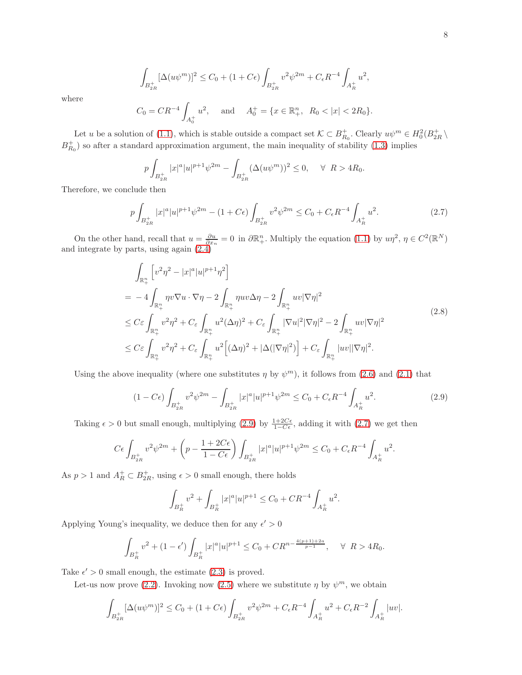$$
\int_{B_{2R}^+} [\Delta(u\psi^m)]^2 \le C_0 + (1+C\epsilon) \int_{B_{2R}^+} v^2 \psi^{2m} + C_\epsilon R^{-4} \int_{A_R^+} u^2,
$$

where

$$
C_0 = CR^{-4} \int_{A_0^+} u^2
$$
, and  $A_0^+ = \{x \in \mathbb{R}_+^n, R_0 < |x| < 2R_0\}$ .

Let u be a solution of [\(1.1\)](#page-0-0), which is stable outside a compact set  $\mathcal{K} \subset B_{R_0}^+$ . Clearly  $u\psi^m \in H_0^2(B_{2R}^+)$  $B_{R_0}^+$ ) so after a standard approximation argument, the main inequality of stability [\(1.3\)](#page-1-2) implies

<span id="page-7-1"></span>
$$
p\int_{B_{2R}^+} |x|^a |u|^{p+1} \psi^{2m} - \int_{B_{2R}^+} (\Delta(u\psi^m))^2 \le 0, \quad \forall \ R > 4R_0.
$$

Therefore, we conclude then

$$
p\int_{B_{2R}^+} |x|^a |u|^{p+1} \psi^{2m} - (1 + C\epsilon) \int_{B_{2R}^+} v^2 \psi^{2m} \le C_0 + C_\epsilon R^{-4} \int_{A_R^+} u^2. \tag{2.7}
$$

On the other hand, recall that  $u = \frac{\partial u}{\partial x_n} = 0$  in  $\partial \mathbb{R}^n_+$ . Multiply the equation [\(1.1\)](#page-0-0) by  $u\eta^2$ ,  $\eta \in C^2(\mathbb{R}^N)$ and integrate by parts, using again [\(2.4\)](#page-6-4)

<span id="page-7-2"></span>
$$
\int_{\mathbb{R}_{+}^{n}} \left[ v^{2} \eta^{2} - |x|^{a} |u|^{p+1} \eta^{2} \right]
$$
\n
$$
= -4 \int_{\mathbb{R}_{+}^{n}} \eta v \nabla u \cdot \nabla \eta - 2 \int_{\mathbb{R}_{+}^{n}} \eta u v \Delta \eta - 2 \int_{\mathbb{R}_{+}^{n}} u v |\nabla \eta|^{2}
$$
\n
$$
\leq C \varepsilon \int_{\mathbb{R}_{+}^{n}} v^{2} \eta^{2} + C_{\varepsilon} \int_{\mathbb{R}_{+}^{n}} u^{2} (\Delta \eta)^{2} + C_{\varepsilon} \int_{\mathbb{R}_{+}^{n}} |\nabla u|^{2} |\nabla \eta|^{2} - 2 \int_{\mathbb{R}_{+}^{n}} u v |\nabla \eta|^{2}
$$
\n
$$
\leq C \varepsilon \int_{\mathbb{R}_{+}^{n}} v^{2} \eta^{2} + C_{\varepsilon} \int_{\mathbb{R}_{+}^{n}} u^{2} \Big[ (\Delta \eta)^{2} + |\Delta (|\nabla \eta|^{2}) \Big] + C_{\varepsilon} \int_{\mathbb{R}_{+}^{n}} |u v| |\nabla \eta|^{2}.
$$
\n
$$
(2.8)
$$

Using the above inequality (where one substitutes  $\eta$  by  $\psi^m$ ), it follows from [\(2.6\)](#page-6-3) and [\(2.1\)](#page-6-0) that

$$
(1 - C\epsilon) \int_{B_{2R}^+} v^2 \psi^{2m} - \int_{B_{2R}^+} |x|^a |u|^{p+1} \psi^{2m} \le C_0 + C_\epsilon R^{-4} \int_{A_R^+} u^2.
$$
 (2.9)

Taking  $\epsilon > 0$  but small enough, multiplying [\(2.9\)](#page-7-0) by  $\frac{1+2C\epsilon}{1-C\epsilon}$ , adding it with [\(2.7\)](#page-7-1) we get then

$$
C\epsilon \int_{B_{2R}^+} v^2 \psi^{2m} + \left( p - \frac{1 + 2C\epsilon}{1 - C\epsilon} \right) \int_{B_{2R}^+} |x|^a |u|^{p+1} \psi^{2m} \le C_0 + C_{\epsilon} R^{-4} \int_{A_R^+} u^2.
$$

As  $p > 1$  and  $A_R^+ \subset B_{2R}^+$ , using  $\epsilon > 0$  small enough, there holds

<span id="page-7-0"></span>
$$
\int_{B_R^+} v^2 + \int_{B_R^+} |x|^a |u|^{p+1} \le C_0 + CR^{-4} \int_{A_R^+} u^2.
$$

Applying Young's inequality, we deduce then for any  $\epsilon' > 0$ 

$$
\int_{B_R^+} v^2 + (1 - \epsilon') \int_{B_R^+} |x|^a |u|^{p+1} \le C_0 + C R^{n - \frac{4(p+1)+2a}{p-1}}, \quad \forall \ R > 4R_0.
$$

Take  $\epsilon' > 0$  small enough, the estimate  $(2.3)$  is proved.

Let-us now prove [\(2.2\)](#page-6-5). Invoking now [\(2.5\)](#page-6-2) where we substitute  $\eta$  by  $\psi^m$ , we obtain

$$
\int_{B_{2R}^+} [\Delta(u\psi^m)]^2 \le C_0 + (1+C\epsilon) \int_{B_{2R}^+} v^2 \psi^{2m} + C_\epsilon R^{-4} \int_{A_R^+} u^2 + C_\epsilon R^{-2} \int_{A_R^+} |uv|.
$$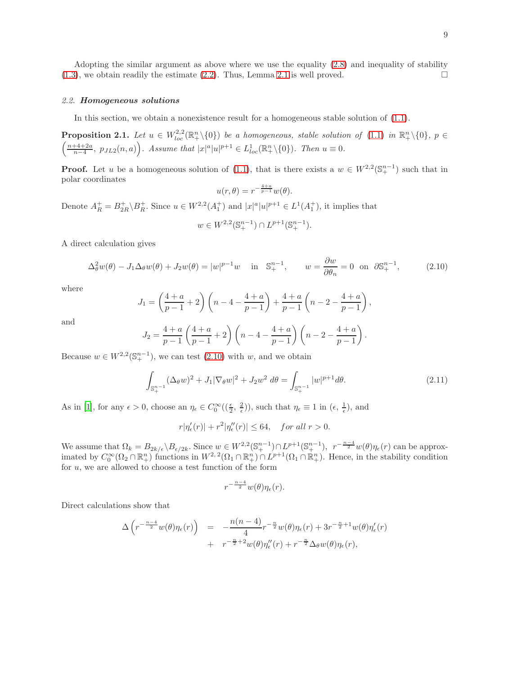Adopting the similar argument as above where we use the equality [\(2.8\)](#page-7-2) and inequality of stability  $(1.3)$ , we obtain readily the estimate  $(2.2)$ . Thus, Lemma [2.1](#page-6-6) is well proved.

# *2.2.* Homogeneous solutions

In this section, we obtain a nonexistence result for a homogeneous stable solution of [\(1.1\)](#page-0-0).

**Proposition 2.1.** Let  $u \in W^{2,2}_{loc}(\mathbb{R}^n_+\setminus\{0\})$  be a homogeneous, stable solution of [\(1.1\)](#page-0-0) in  $\mathbb{R}^n_+\setminus\{0\}$ ,  $p \in$  $\left(\frac{n+4+2a}{n-4}, \ p_{JL2}(n, a)\right)$ *. Assume that*  $|x|^a|u|^{p+1} \in L_{loc}^1(\mathbb{R}^n_+\setminus\{0\})$ *. Then*  $u \equiv 0$ *.* 

**Proof.** Let u be a homogeneous solution of [\(1.1\)](#page-0-0), that is there exists a  $w \in W^{2,2}(\mathbb{S}_{+}^{n-1})$  such that in polar coordinates

<span id="page-8-2"></span><span id="page-8-0"></span>
$$
u(r,\theta) = r^{-\frac{4+a}{p-1}}w(\theta).
$$

Denote  $A_R^+ = B_{2R}^+ \backslash B_R^+$ . Since  $u \in W^{2,2}(A_1^+)$  and  $|x|^a |u|^{p+1} \in L^1(A_1^+)$ , it implies that

$$
w \in W^{2,2}(\mathbb{S}^{n-1}_+) \cap L^{p+1}(\mathbb{S}^{n-1}_+).
$$

A direct calculation gives

$$
\Delta_{\theta}^{2}w(\theta) - J_{1}\Delta_{\theta}w(\theta) + J_{2}w(\theta) = |w|^{p-1}w \quad \text{in} \quad \mathbb{S}_{+}^{n-1}, \qquad w = \frac{\partial w}{\partial \theta_{n}} = 0 \quad \text{on} \quad \partial \mathbb{S}_{+}^{n-1}, \tag{2.10}
$$

where

$$
J_1 = \left(\frac{4+a}{p-1} + 2\right) \left(n - 4 - \frac{4+a}{p-1}\right) + \frac{4+a}{p-1} \left(n - 2 - \frac{4+a}{p-1}\right),
$$

and

$$
J_2 = \frac{4+a}{p-1} \left( \frac{4+a}{p-1} + 2 \right) \left( n - 4 - \frac{4+a}{p-1} \right) \left( n - 2 - \frac{4+a}{p-1} \right).
$$

Because  $w \in W^{2,2}(\mathbb{S}_{+}^{n-1})$ , we can test  $(2.10)$  with w, and we obtain

<span id="page-8-1"></span>
$$
\int_{\mathbb{S}_{+}^{n-1}} (\Delta_{\theta} w)^{2} + J_{1} |\nabla_{\theta} w|^{2} + J_{2} w^{2} d\theta = \int_{\mathbb{S}_{+}^{n-1}} |w|^{p+1} d\theta.
$$
\n(2.11)

As in [\[1](#page-16-1)], for any  $\epsilon > 0$ , choose an  $\eta_{\epsilon} \in C_0^{\infty}((\frac{\epsilon}{2}, \frac{2}{\epsilon}))$ , such that  $\eta_{\epsilon} \equiv 1$  in  $(\epsilon, \frac{1}{\epsilon})$ , and

$$
r|\eta'_{\epsilon}(r)| + r^2|\eta''_{\epsilon}(r)| \le 64, \quad \text{for all } r > 0.
$$

We assume that  $\Omega_k = B_{2k/\epsilon} \setminus B_{\epsilon/2k}$ . Since  $w \in W^{2,2}(\mathbb{S}_+^{n-1}) \cap L^{p+1}(\mathbb{S}_+^{n-1}), r^{-\frac{n-4}{2}}w(\theta)\eta_{\epsilon}(r)$  can be approximated by  $C_0^{\infty}(\Omega_2 \cap \mathbb{R}^n_+)$  functions in  $W^{2,2}(\Omega_1 \cap \mathbb{R}^n_+) \cap L^{p+1}(\Omega_1 \cap \mathbb{R}^n_+)$ . Hence, in the stability condition for  $u$ , we are allowed to choose a test function of the form

$$
r^{-\frac{n-4}{2}}w(\theta)\eta_\epsilon(r).
$$

Direct calculations show that

$$
\Delta \left( r^{-\frac{n-4}{2}} w(\theta) \eta_{\epsilon}(r) \right) = -\frac{n(n-4)}{4} r^{-\frac{n}{2}} w(\theta) \eta_{\epsilon}(r) + 3r^{-\frac{n}{2}+1} w(\theta) \eta'_{\epsilon}(r) + r^{-\frac{n}{2}+2} w(\theta) \eta''_{\epsilon}(r) + r^{-\frac{n}{2}} \Delta_{\theta} w(\theta) \eta_{\epsilon}(r),
$$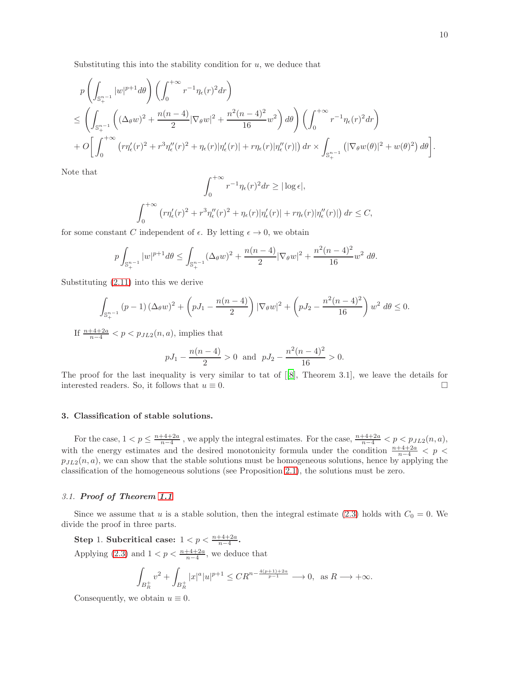Substituting this into the stability condition for  $u$ , we deduce that

$$
p\left(\int_{\mathbb{S}_{+}^{n-1}}|w|^{p+1}d\theta\right)\left(\int_{0}^{+\infty}r^{-1}\eta_{\epsilon}(r)^{2}dr\right)
$$
  
\n
$$
\leq\left(\int_{\mathbb{S}_{+}^{n-1}}\left((\Delta_{\theta}w)^{2}+\frac{n(n-4)}{2}|\nabla_{\theta}w|^{2}+\frac{n^{2}(n-4)^{2}}{16}w^{2}\right)d\theta\right)\left(\int_{0}^{+\infty}r^{-1}\eta_{\epsilon}(r)^{2}dr\right)
$$
  
\n
$$
+O\bigg[\int_{0}^{+\infty}\left(r\eta'_{\epsilon}(r)^{2}+r^{3}\eta''_{\epsilon}(r)^{2}+\eta_{\epsilon}(r)|\eta'_{\epsilon}(r)|+r\eta_{\epsilon}(r)|\eta''_{\epsilon}(r)|\right)dr\times\int_{\mathbb{S}_{+}^{n-1}}\left(|\nabla_{\theta}w(\theta)|^{2}+w(\theta)^{2}\right)d\theta\bigg].
$$

Note that

$$
\int_0^{+\infty} r^{-1} \eta_{\epsilon}(r)^2 dr \ge |\log \epsilon|,
$$
  

$$
\int_0^{+\infty} \left( r \eta_{\epsilon}'(r)^2 + r^3 \eta_{\epsilon}''(r)^2 + \eta_{\epsilon}(r) |\eta_{\epsilon}'(r)| + r \eta_{\epsilon}(r) |\eta_{\epsilon}''(r)| \right) dr \le C,
$$

for some constant C independent of  $\epsilon$ . By letting  $\epsilon \to 0$ , we obtain

$$
p\int_{\mathbb{S}_+^{n-1}} |w|^{p+1} d\theta \le \int_{\mathbb{S}_+^{n-1}} (\Delta_\theta w)^2 + \frac{n(n-4)}{2} |\nabla_\theta w|^2 + \frac{n^2(n-4)^2}{16} w^2 d\theta.
$$

Substituting [\(2.11\)](#page-8-1) into this we derive

$$
\int_{\mathbb{S}_{+}^{n-1}} (p-1) \left(\Delta_{\theta} w\right)^2 + \left(pJ_1 - \frac{n(n-4)}{2}\right) |\nabla_{\theta} w|^2 + \left(pJ_2 - \frac{n^2(n-4)^2}{16}\right) w^2 \, d\theta \le 0.
$$

If  $\frac{n+4+2a}{n-4} < p < p_{JL2}(n, a)$ , implies that

$$
pJ_1 - \frac{n(n-4)}{2} > 0
$$
 and  $pJ_2 - \frac{n^2(n-4)^2}{16} > 0$ .

The proof for the last inequality is very similar to tat of[[\[8\]](#page-17-2), Theorem 3.1], we leave the details for interested readers. So, it follows that  $u \equiv 0$ .

#### 3. Classification of stable solutions.

For the case,  $1 < p \leq \frac{n+4+2a}{n-4}$ , we apply the integral estimates. For the case,  $\frac{n+4+2a}{n-4} < p < p_{JL2}(n, a)$ , with the energy estimates and the desired monotonicity formula under the condition  $\frac{n+4+2a}{n-4} < p <$  $p_{JL2}(n, a)$ , we can show that the stable solutions must be homogeneous solutions, hence by applying the classification of the homogeneous solutions (see Proposition [2.1\)](#page-8-2), the solutions must be zero.

#### *3.1.* Proof of Theorem [1.1](#page-1-0)

Since we assume that u is a stable solution, then the integral estimate [\(2.3\)](#page-6-1) holds with  $C_0 = 0$ . We divide the proof in three parts.

Step 1. Subcritical case:  $1 < p < \frac{n+4+2a}{n-4}$ .

Applying [\(2.3\)](#page-6-1) and  $1 < p < \frac{n+4+2a}{n-4}$ , we deduce that

$$
\int_{B_R^+} v^2 + \int_{B_R^+} |x|^a |u|^{p+1} \leq C R^{n - \frac{4(p+1)+2a}{p-1}} \longrightarrow 0, \text{ as } R \longrightarrow +\infty.
$$

Consequently, we obtain  $u \equiv 0$ .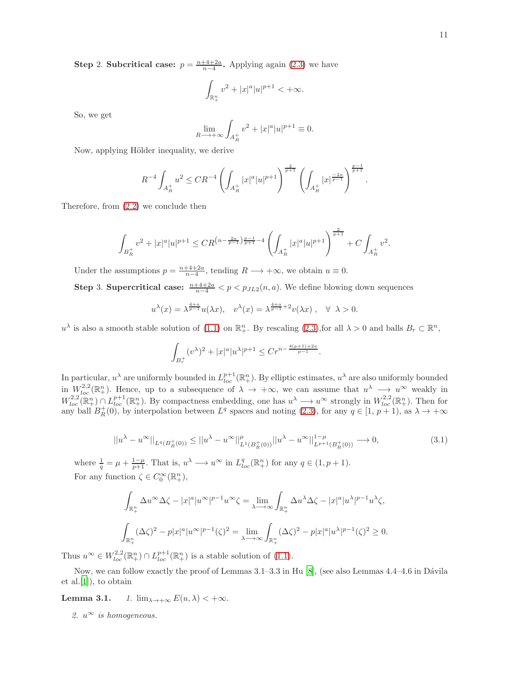**Step 2. Subcritical case:**  $p = \frac{n+4+2a}{n-4}$ . Applying again [\(2.3\)](#page-6-1) we have

$$
\int_{\mathbb{R}^n_+}v^2+|x|^a|u|^{p+1}<+\infty.
$$

So, we get

$$
\lim_{R \to +\infty} \int_{A_R^+} v^2 + |x|^a |u|^{p+1} \equiv 0.
$$

Now, applying Hölder inequality, we derive

$$
R^{-4}\int_{A_R^+}u^2\leq CR^{-4}\left(\int_{A_R^+}|x|^a|u|^{p+1}\right)^{\frac{2}{p+1}}\left(\int_{A_R^+}|x|^{\frac{-2a}{p-1}}\right)^{\frac{p-1}{p+1}}.
$$

Therefore, from [\(2.2\)](#page-6-5) we conclude then

$$
\int_{B_R^+} v^2 + |x|^a |u|^{p+1} \le C R^{\left(n - \frac{2a}{p-1}\right)\frac{p-1}{p+1} - 4} \left( \int_{A_R^+} |x|^a |u|^{p+1} \right)^{\frac{2}{p+1}} + C \int_{A_R^+} v^2.
$$

Under the assumptions  $p = \frac{n+4+2a}{n-4}$ , tending  $R \longrightarrow +\infty$ , we obtain  $u \equiv 0$ .

**Step 3. Supercritical case:**  $\frac{n+4+2a}{n-4} < p < p_{JL2}(n, a)$ . We define blowing down sequences

$$
u^{\lambda}(x) = \lambda^{\frac{4+a}{p-1}} u(\lambda x), \quad v^{\lambda}(x) = \lambda^{\frac{4+a}{p-1}+2} v(\lambda x), \quad \forall \lambda > 0.
$$

 $u^{\lambda}$  is also a smooth stable solution of [\(1.1\)](#page-0-0) on  $\mathbb{R}^n_+$ . By rescaling [\(2.3\)](#page-6-1), for all  $\lambda > 0$  and balls  $B_r \subset \mathbb{R}^n$ ,

$$
\int_{B_r^+} (v^{\lambda})^2 + |x|^a |u^{\lambda}|^{p+1} \le Cr^{n - \frac{4(p+1)+2a}{p-1}}.
$$

In particular,  $u^{\lambda}$  are uniformly bounded in  $L_{loc}^{p+1}(\mathbb{R}^n_+)$ . By elliptic estimates,  $u^{\lambda}$  are also uniformly bounded in  $W^{2,2}_{loc}(\mathbb{R}^n_+)$ . Hence, up to a subsequence of  $\lambda \to +\infty$ , we can assume that  $u^{\lambda} \to u^{\infty}$  weakly in  $W_{loc}^{2,2}(\mathbb{R}^n_+)\cap L_{loc}^{p+1}(\mathbb{R}^n_+)$ . By compactness embedding, one has  $u^{\lambda}\longrightarrow u^{\infty}$  strongly in  $W_{loc}^{2,2}(\mathbb{R}^n_+)$ . Then for any ball  $B_R^+(0)$ , by interpolation between  $L^q$  spaces and noting [\(2.3\)](#page-6-1), for any  $q \in [1, p+1)$ , as  $\lambda \to +\infty$ 

$$
||u^{\lambda} - u^{\infty}||_{L^{q}(B_{R}^{+}(0))} \le ||u^{\lambda} - u^{\infty}||_{L^{1}(B_{R}^{+}(0))}^{u} ||u^{\lambda} - u^{\infty}||_{L^{p+1}(B_{R}^{+}(0))}^{1-\mu} \longrightarrow 0,
$$
\n(3.1)

where  $\frac{1}{q} = \mu + \frac{1-\mu}{p+1}$ . That is,  $u^{\lambda} \longrightarrow u^{\infty}$  in  $L_{loc}^q(\mathbb{R}^n_+)$  for any  $q \in (1, p+1)$ . For any function  $\zeta \in C_0^{\infty}(\mathbb{R}^n_+),$ 

$$
\begin{aligned} &\int_{\mathbb{R}^n_+} \Delta u^\infty \Delta \zeta - |x|^a |u^\infty|^{p-1} u^\infty \zeta = \lim_{\lambda \longrightarrow \infty} \int_{\mathbb{R}^n_+} \Delta u^\lambda \Delta \zeta - |x|^a |u^\lambda|^{p-1} u^\lambda \zeta, \\ &\int_{\mathbb{R}^n_+} (\Delta \zeta)^2 - p |x|^a |u^\infty|^{p-1} (\zeta)^2 = \lim_{\lambda \longrightarrow \infty} \int_{\mathbb{R}^n_+} (\Delta \zeta)^2 - p |x|^a |u^\lambda|^{p-1} (\zeta)^2 \geq 0. \end{aligned}
$$

Thus  $u^{\infty} \in W_{loc}^{2,2}(\mathbb{R}^n_+) \cap L_{loc}^{p+1}(\mathbb{R}^n_+)$  is a stable solution of [\(1.1\)](#page-0-0).

Now, we can follow exactly the proof of Lemmas  $3.1-3.3$  in Hu [\[8](#page-17-2)], (see also Lemmas  $4.4-4.6$  in Dávila et al.[\[1\]](#page-16-1)), to obtain

**Lemma 3.1.** *1.*  $\lim_{\lambda \to +\infty} E(u, \lambda) < +\infty$ .

2.  $u^{\infty}$  *is homogeneous.*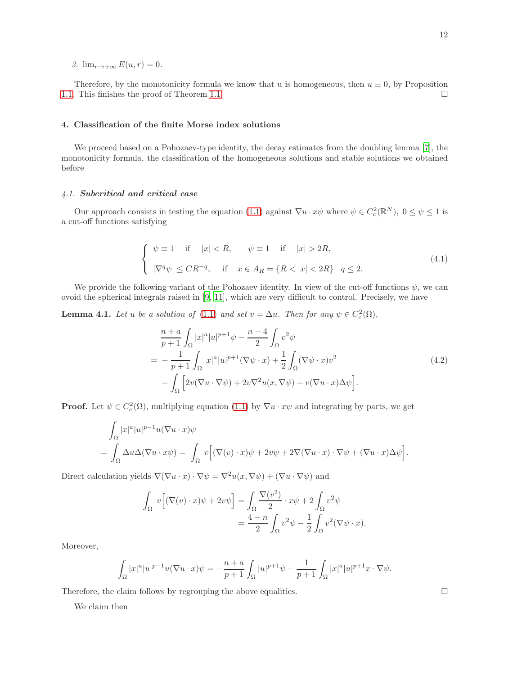*3.*  $\lim_{r \to +\infty} E(u, r) = 0$ .

Therefore, by the monotonicity formula we know that u is homogeneous, then  $u \equiv 0$ , by Proposition [1.1.](#page-2-0) This finishes the proof of Theorem [1.1.](#page-1-0)

## 4. Classification of the finite Morse index solutions

We proceed based on a Pohozaev-type identity, the decay estimates from the doubling lemma [\[7](#page-17-5)], the monotonicity formula, the classification of the homogeneous solutions and stable solutions we obtained before

## *4.1.* Subcritical and critical case

Our approach consists in testing the equation [\(1.1\)](#page-0-0) against  $\nabla u \cdot x\psi$  where  $\psi \in C_c^2(\mathbb{R}^N)$ ,  $0 \le \psi \le 1$  is a cut-off functions satisfying

$$
\begin{cases}\n\psi \equiv 1 \quad \text{if} \quad |x| < R, \qquad \psi \equiv 1 \quad \text{if} \quad |x| > 2R, \\
|\nabla^q \psi| \leq CR^{-q}, \quad \text{if} \quad x \in A_R = \{R < |x| < 2R\} \quad q \leq 2.\n\end{cases}\n\tag{4.1}
$$

We provide the following variant of the Pohozaev identity. In view of the cut-off functions  $\psi$ , we can ovoid the spherical integrals raised in [\[9,](#page-17-6) [11\]](#page-17-3), which are very difficult to control. Precisely, we have

**Lemma 4.1.** *Let* u *be a solution of* [\(1.1\)](#page-0-0) *and set*  $v = \Delta u$ *. Then for any*  $\psi \in C_c^2(\Omega)$ *,* 

<span id="page-11-0"></span>
$$
\frac{n+a}{p+1} \int_{\Omega} |x|^a |u|^{p+1} \psi - \frac{n-4}{2} \int_{\Omega} v^2 \psi
$$
\n
$$
= -\frac{1}{p+1} \int_{\Omega} |x|^a |u|^{p+1} (\nabla \psi \cdot x) + \frac{1}{2} \int_{\Omega} (\nabla \psi \cdot x) v^2
$$
\n
$$
- \int_{\Omega} \left[ 2v (\nabla u \cdot \nabla \psi) + 2v \nabla^2 u(x, \nabla \psi) + v (\nabla u \cdot x) \Delta \psi \right].
$$
\n(4.2)

**Proof.** Let  $\psi \in C_c^2(\Omega)$ , multiplying equation [\(1.1\)](#page-0-0) by  $\nabla u \cdot x\psi$  and integrating by parts, we get

$$
\int_{\Omega} |x|^a |u|^{p-1} u (\nabla u \cdot x) \psi
$$
\n
$$
= \int_{\Omega} \Delta u \Delta (\nabla u \cdot x \psi) = \int_{\Omega} v \Big[ (\nabla (v) \cdot x) \psi + 2v \psi + 2 \nabla (\nabla u \cdot x) \cdot \nabla \psi + (\nabla u \cdot x) \Delta \psi \Big].
$$

Direct calculation yields  $\nabla(\nabla u \cdot x) \cdot \nabla \psi = \nabla^2 u(x, \nabla \psi) + (\nabla u \cdot \nabla \psi)$  and

$$
\int_{\Omega} v \Big[ (\nabla(v) \cdot x) \psi + 2v \psi \Big] = \int_{\Omega} \frac{\nabla(v^2)}{2} \cdot x \psi + 2 \int_{\Omega} v^2 \psi
$$

$$
= \frac{4-n}{2} \int_{\Omega} v^2 \psi - \frac{1}{2} \int_{\Omega} v^2 (\nabla \psi \cdot x).
$$

Moreover,

$$
\int_{\Omega}|x|^a|u|^{p-1}u(\nabla u\cdot x)\psi=-\frac{n+a}{p+1}\int_{\Omega}|u|^{p+1}\psi-\frac{1}{p+1}\int_{\Omega}|x|^a|u|^{p+1}x\cdot\nabla\psi.
$$

Therefore, the claim follows by regrouping the above equalities.  $\Box$ 

We claim then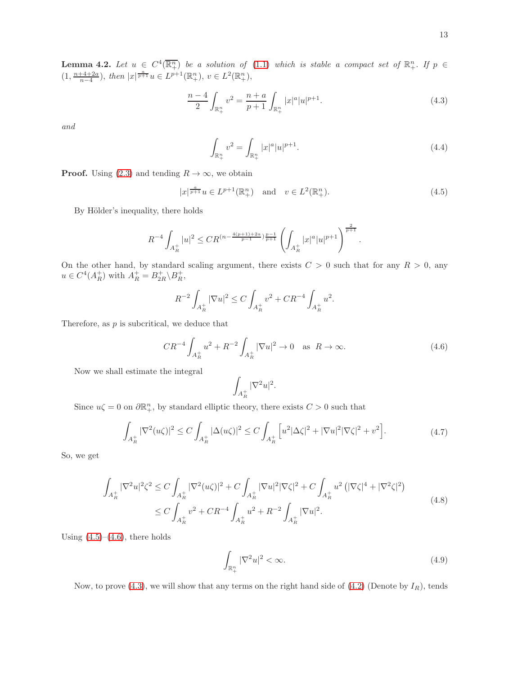**Lemma 4.2.** Let  $u \in C^4(\overline{\mathbb{R}^n_+})$  be a solution of [\(1.1\)](#page-0-0) which is stable a compact set of  $\mathbb{R}^n_+$ . If  $p \in$  $(1, \frac{n+4+2a}{n-4}), \text{ then } |x|^{\frac{a}{p+1}}u \in L^{p+1}(\mathbb{R}^n_+), v \in L^2(\mathbb{R}^n_+),$ 

$$
\frac{n-4}{2} \int_{\mathbb{R}^n_+} v^2 = \frac{n+a}{p+1} \int_{\mathbb{R}^n_+} |x|^a |u|^{p+1}.
$$
\n(4.3)

*and*

<span id="page-12-4"></span><span id="page-12-2"></span><span id="page-12-0"></span>
$$
\int_{\mathbb{R}^n_+} v^2 = \int_{\mathbb{R}^n_+} |x|^a |u|^{p+1}.
$$
\n(4.4)

**Proof.** Using [\(2.3\)](#page-6-1) and tending  $R \to \infty$ , we obtain

$$
|x|^{\frac{a}{p+1}}u \in L^{p+1}(\mathbb{R}^n_+)
$$
 and  $v \in L^2(\mathbb{R}^n_+).$  (4.5)

By Hölder's inequality, there holds

$$
R^{-4} \int_{A_R^+} |u|^2 \leq CR^{(n - \frac{4(p+1)+2a}{p-1})\frac{p-1}{p+1}} \left( \int_{A_R^+} |x|^a |u|^{p+1} \right)^{\frac{2}{p+1}}.
$$

On the other hand, by standard scaling argument, there exists  $C > 0$  such that for any  $R > 0$ , any  $u \in C^4(A_R^+)$  with  $A_R^+ = B_{2R}^+ \backslash B_R^+$ ,

$$
R^{-2} \int_{A_R^+} |\nabla u|^2 \le C \int_{A_R^+} v^2 + CR^{-4} \int_{A_R^+} u^2.
$$

Therefore, as  $p$  is subcritical, we deduce that

$$
CR^{-4} \int_{A_R^+} u^2 + R^{-2} \int_{A_R^+} |\nabla u|^2 \to 0 \quad \text{as } R \to \infty.
$$
 (4.6)

Now we shall estimate the integral

<span id="page-12-1"></span>
$$
\int_{A_R^+} |\nabla^2 u|^2.
$$

Since  $u\zeta = 0$  on  $\partial \mathbb{R}^n_+$ , by standard elliptic theory, there exists  $C > 0$  such that

$$
\int_{A_R^+} |\nabla^2(u\zeta)|^2 \le C \int_{A_R^+} |\Delta(u\zeta)|^2 \le C \int_{A_R^+} \left[ u^2 |\Delta\zeta|^2 + |\nabla u|^2 |\nabla\zeta|^2 + v^2 \right]. \tag{4.7}
$$

So, we get

$$
\int_{A_R^+} |\nabla^2 u|^2 \zeta^2 \le C \int_{A_R^+} |\nabla^2 (u\zeta)|^2 + C \int_{A_R^+} |\nabla u|^2 |\nabla \zeta|^2 + C \int_{A_R^+} u^2 \left( |\nabla \zeta|^4 + |\nabla^2 \zeta|^2 \right)
$$
\n
$$
\le C \int_{A_R^+} v^2 + C R^{-4} \int_{A_R^+} u^2 + R^{-2} \int_{A_R^+} |\nabla u|^2. \tag{4.8}
$$

Using  $(4.5)$ – $(4.6)$ , there holds

<span id="page-12-3"></span>
$$
\int_{\mathbb{R}_+^n} |\nabla^2 u|^2 < \infty. \tag{4.9}
$$

Now, to prove [\(4.3\)](#page-12-2), we will show that any terms on the right hand side of [\(4.2\)](#page-11-0) (Denote by  $I_R$ ), tends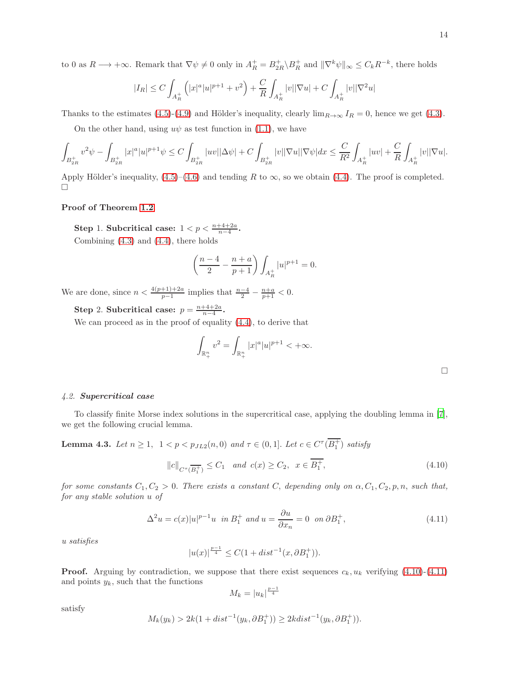to 0 as  $R \longrightarrow +\infty$ . Remark that  $\nabla \psi \neq 0$  only in  $A_R^+ = B_{2R}^+ \backslash B_R^+$  and  $\|\nabla^k \psi\|_{\infty} \leq C_k R^{-k}$ , there holds

$$
|I_R| \leq C \int_{A_R^+} \left( |x|^a |u|^{p+1} + v^2 \right) + \frac{C}{R} \int_{A_R^+} |v| |\nabla u| + C \int_{A_R^+} |v| |\nabla^2 u|
$$

Thanks to the estimates [\(4.5\)](#page-12-0)-[\(4.9\)](#page-12-3) and Hölder's inequality, clearly  $\lim_{R\to\infty} I_R = 0$ , hence we get [\(4.3\)](#page-12-2).

On the other hand, using  $u\psi$  as test function in [\(1.1\)](#page-0-0), we have

$$
\int_{B_{2R}^+} v^2 \psi - \int_{B_{2R}^+} |x|^a |u|^{p+1} \psi \leq C \int_{B_{2R}^+} |uv| |\Delta \psi| + C \int_{B_{2R}^+} |v| |\nabla u| |\nabla \psi| dx \leq \frac{C}{R^2} \int_{A_R^+} |uv| + \frac{C}{R} \int_{A_R^+} |v| |\nabla u|.
$$

Apply Hölder's inequality,  $(4.5)$ – $(4.6)$  and tending R to  $\infty$ , so we obtain [\(4.4\)](#page-12-4). The proof is completed.  $\Box$ 

## Proof of Theorem [1.2](#page-1-1).

Step 1. Subcritical case:  $1 < p < \frac{n+4+2a}{n-4}$ . Combining [\(4.3\)](#page-12-2) and [\(4.4\)](#page-12-4), there holds

$$
\left(\frac{n-4}{2} - \frac{n+a}{p+1}\right) \int_{A_R^+} |u|^{p+1} = 0.
$$

We are done, since  $n < \frac{4(p+1)+2a}{p-1}$  implies that  $\frac{n-4}{2} - \frac{n+a}{p+1} < 0$ .

Step 2. Subcritical case:  $p = \frac{n+4+2a}{n-4}$ .

We can proceed as in the proof of equality [\(4.4\)](#page-12-4), to derive that

$$
\int_{\mathbb{R}_+^n}v^2=\int_{\mathbb{R}_+^n}|x|^a|u|^{p+1}<+\infty.
$$

#### *4.2.* Supercritical case

<span id="page-13-2"></span>To classify finite Morse index solutions in the supercritical case, applying the doubling lemma in [\[7\]](#page-17-5), we get the following crucial lemma.

**Lemma 4.3.** *Let*  $n \ge 1$ ,  $1 < p < p_{JL2}(n, 0)$  *and*  $\tau \in (0, 1]$ *. Let*  $c \in C^{\tau}(B_1^+)$  *satisfy* 

<span id="page-13-0"></span>
$$
||c||_{C^{\tau}(\overline{B_{1}^{+}})} \leq C_{1}
$$
 and  $c(x) \geq C_{2}$ ,  $x \in \overline{B_{1}^{+}}$ ,  $(4.10)$ 

*for some constants*  $C_1, C_2 > 0$ . *There exists a constant* C, *depending only on*  $\alpha, C_1, C_2, p, n$ , *such that, for any stable solution* u *of*

<span id="page-13-1"></span>
$$
\Delta^2 u = c(x)|u|^{p-1}u \text{ in } B_1^+ \text{ and } u = \frac{\partial u}{\partial x_n} = 0 \text{ on } \partial B_1^+,
$$
\n(4.11)

*u satisfies*

$$
|u(x)|^{\frac{p-1}{4}} \leq C(1+dist^{-1}(x,\partial B_1^+)).
$$

**Proof.** Arguing by contradiction, we suppose that there exist sequences  $c_k, u_k$  verifying [\(4.10\)](#page-13-0)-[\(4.11\)](#page-13-1) and points  $y_k$ , such that the functions

$$
M_k = |u_k|^{\frac{p-1}{4}}
$$

satisfy

$$
M_k(y_k) > 2k(1 + dist^{-1}(y_k, \partial B_1^+)) \ge 2kdist^{-1}(y_k, \partial B_1^+)).
$$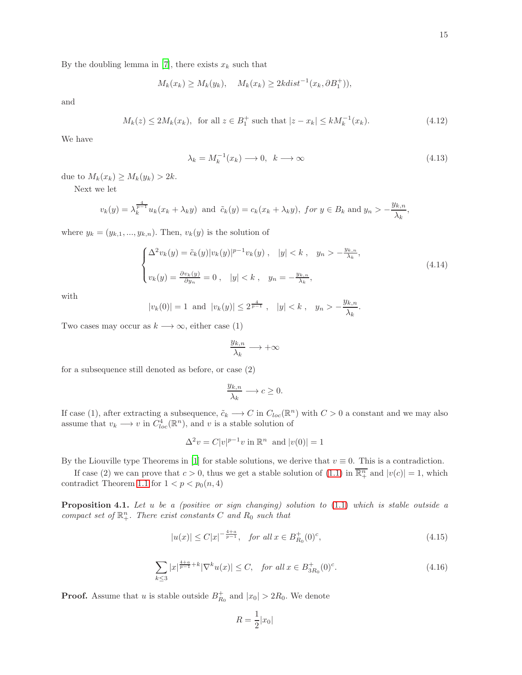By the doubling lemma in [\[7](#page-17-5)], there exists  $x_k$  such that

$$
M_k(x_k) \ge M_k(y_k), \quad M_k(x_k) \ge 2kdist^{-1}(x_k, \partial B_1^+)),
$$

and

$$
M_k(z) \le 2M_k(x_k)
$$
, for all  $z \in B_1^+$  such that  $|z - x_k| \le kM_k^{-1}(x_k)$ . (4.12)

We have

$$
\lambda_k = M_k^{-1}(x_k) \longrightarrow 0, \quad k \longrightarrow \infty \tag{4.13}
$$

due to  $M_k(x_k) \geq M_k(y_k) > 2k$ .

Next we let

$$
v_k(y) = \lambda_k^{\frac{4}{p-1}} u_k(x_k + \lambda_k y) \text{ and } \tilde{c}_k(y) = c_k(x_k + \lambda_k y), \text{ for } y \in B_k \text{ and } y_n > -\frac{y_{k,n}}{\lambda_k},
$$

where  $y_k = (y_{k,1},..., y_{k,n})$ . Then,  $v_k(y)$  is the solution of

$$
\begin{cases} \Delta^2 v_k(y) = \tilde{c}_k(y) |v_k(y)|^{p-1} v_k(y) , & |y| < k , \quad y_n > -\frac{y_{k,n}}{\lambda_k}, \\ v_k(y) = \frac{\partial v_k(y)}{\partial y_n} = 0 , & |y| < k , \quad y_n = -\frac{y_{k,n}}{\lambda_k}, \end{cases}
$$
\n(4.14)

with

$$
|v_k(0)| = 1
$$
 and  $|v_k(y)| \le 2^{\frac{4}{p-1}}$ ,  $|y| < k$ ,  $y_n > -\frac{y_{k,n}}{\lambda_k}$ .

Two cases may occur as  $k \longrightarrow \infty$ , either case (1)

$$
\frac{y_{k,n}}{\lambda_k}\longrightarrow +\infty
$$

for a subsequence still denoted as before, or case (2)

$$
\frac{y_{k,n}}{\lambda_k} \longrightarrow c \ge 0.
$$

If case (1), after extracting a subsequence,  $\tilde{c}_k \longrightarrow C$  in  $C_{loc}(\mathbb{R}^n)$  with  $C > 0$  a constant and we may also assume that  $v_k \longrightarrow v$  in  $C^4_{loc}(\mathbb{R}^n)$ , and v is a stable solution of

$$
\Delta^2 v = C|v|^{p-1}v \text{ in } \mathbb{R}^n \text{ and } |v(0)| = 1
$$

By the Liouville type Theorems in [\[1\]](#page-16-1) for stable solutions, we derive that  $v \equiv 0$ . This is a contradiction.

If case (2) we can prove that  $c > 0$ , thus we get a stable solution of [\(1.1\)](#page-0-0) in  $\overline{\mathbb{R}^n_+}$  and  $|v(c)| = 1$ , which contradict Theorem [1.1](#page-1-0) for  $1 < p < p_0(n, 4)$ 

<span id="page-14-2"></span>Proposition 4.1. *Let* u *be a (positive or sign changing) solution to* [\(1.1\)](#page-0-0) *which is stable outside a*  $compact\ set\ of\  $\mathbb{R}^n_+$ . There exist constants  $C$  and  $R_0$  such that$ 

<span id="page-14-0"></span>
$$
|u(x)| \le C|x|^{-\frac{4+a}{p-1}}, \quad \text{for all } x \in B_{R_0}^+(0)^c,
$$
\n
$$
(4.15)
$$

<span id="page-14-1"></span>
$$
\sum_{k \le 3} |x|^{\frac{4+a}{p-1}+k} |\nabla^k u(x)| \le C, \quad \text{for all } x \in B_{3R_0}^+(0)^c. \tag{4.16}
$$

**Proof.** Assume that u is stable outside  $B_{R_0}^+$  and  $|x_0| > 2R_0$ . We denote

$$
R = \frac{1}{2}|x_0|
$$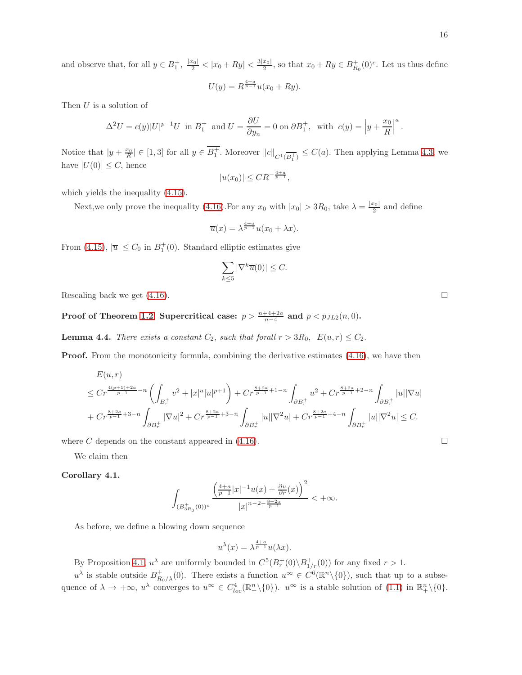and observe that, for all  $y \in B_1^+$ ,  $\frac{|x_0|}{2} < |x_0 + Ry| < \frac{3|x_0|}{2}$ , so that  $x_0 + Ry \in B_{R_0}^+(0)^c$ . Let us thus define

$$
U(y) = R^{\frac{4+a}{p-1}} u(x_0 + Ry).
$$

Then  $U$  is a solution of

$$
\Delta^2 U = c(y)|U|^{p-1}U \text{ in } B_1^+ \text{ and } U = \frac{\partial U}{\partial y_n} = 0 \text{ on } \partial B_1^+, \text{ with } c(y) = \left| y + \frac{x_0}{R} \right|^a.
$$

Notice that  $|y + \frac{x_0}{R}| \in [1, 3]$  for all  $y \in B_1^+$ . Moreover  $||c||_{C^1(\overline{B_1^+})} \leq C(a)$ . Then applying Lemma [4.3,](#page-13-2) we have  $|U(0)| \leq C$ , hence  $_{4+a}$ 

$$
|u(x_0)| \leq CR^{-\frac{4+a}{p-1}},
$$

which yields the inequality [\(4.15\)](#page-14-0).

Next, we only prove the inequality [\(4.16\)](#page-14-1). For any  $x_0$  with  $|x_0| > 3R_0$ , take  $\lambda = \frac{|x_0|}{2}$  and define

$$
\overline{u}(x) = \lambda^{\frac{4+a}{p-1}} u(x_0 + \lambda x).
$$

From [\(4.15\)](#page-14-0),  $|\overline{u}| \leq C_0$  in  $B_1^+(0)$ . Standard elliptic estimates give

$$
\sum_{k \le 5} |\nabla^k \overline{u}(0)| \le C.
$$

Rescaling back we get  $(4.16)$ .

Proof of Theorem [1.2](#page-1-1). Supercritical case:  $p > \frac{n+4+2a}{n-4}$  and  $p < p_{JL2}(n,0)$ .

**Lemma 4.4.** *There exists a constant*  $C_2$ , *such that forall*  $r > 3R_0$ ,  $E(u,r) \leq C_2$ .

**Proof.** From the monotonicity formula, combining the derivative estimates  $(4.16)$ , we have then

$$
E(u,r)
$$
  
\n
$$
\leq Cr^{\frac{4(p+1)+2a}{p-1}-n} \left( \int_{B_r^+} v^2 + |x|^a |u|^{p+1} \right) + Cr^{\frac{8+2a}{p-1}+1-n} \int_{\partial B_r^+} u^2 + Cr^{\frac{8+2a}{p-1}+2-n} \int_{\partial B_r^+} |u||\nabla u|
$$
  
\n
$$
+ Cr^{\frac{8+2a}{p-1}+3-n} \int_{\partial B_r^+} |\nabla u|^2 + Cr^{\frac{8+2a}{p-1}+3-n} \int_{\partial B_r^+} |u||\nabla^2 u| + Cr^{\frac{8+2a}{p-1}+4-n} \int_{\partial B_r^+} |u||\nabla^2 u| \leq C.
$$

where C depends on the constant appeared in [\(4.16\)](#page-14-1).

<span id="page-15-0"></span>We claim then

Corollary 4.1.

$$
\int_{(B_{3R_0}^+(0))^c}\frac{\left(\frac{4+a}{p-1}|x|^{-1}u(x)+\frac{\partial u}{\partial r}(x)\right)^2}{|x|^{n-2-\frac{8+2a}{p-1}}}<+\infty.
$$

As before, we define a blowing down sequence

$$
u^{\lambda}(x) = \lambda^{\frac{4+a}{p-1}} u(\lambda x).
$$

By Proposition [4.1,](#page-14-2)  $u^{\lambda}$  are uniformly bounded in  $C^{5}(B_{r}^{+}(0)\backslash B_{1/r}^{+}(0))$  for any fixed  $r > 1$ .

 $u^{\lambda}$  is stable outside  $B_{R_0/\lambda}^+(0)$ . There exists a function  $u^{\infty} \in C^6(\mathbb{R}^n \setminus \{0\})$ , such that up to a subsequence of  $\lambda \to +\infty$ ,  $u^{\lambda}$  converges to  $u^{\infty} \in C_{loc}^4(\mathbb{R}^n_+\setminus\{0\})$ .  $u^{\infty}$  is a stable solution of [\(1.1\)](#page-0-0) in  $\mathbb{R}^n_+\setminus\{0\}$ .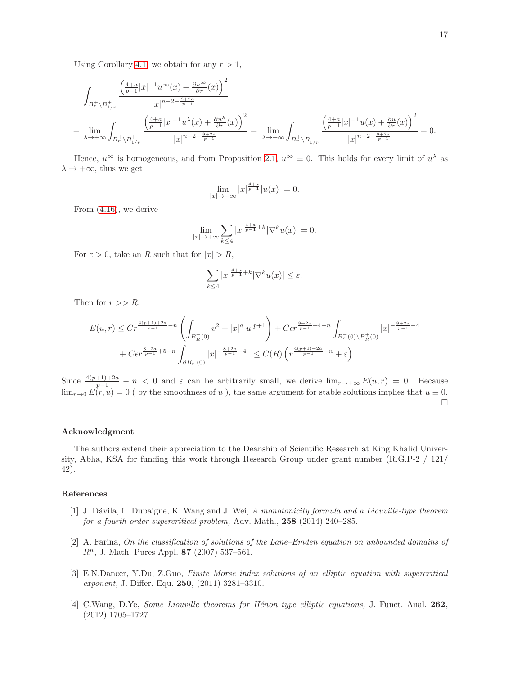Using Corollary [4.1,](#page-15-0) we obtain for any  $r > 1$ ,

$$
\int_{B_r^+\backslash B_{1/r}^+} \frac{\left(\frac{4+a}{p-1}|x|^{-1}u^\infty(x) + \frac{\partial u^\infty}{\partial r}(x)\right)^2}{|x|^{n-2-\frac{8+2a}{p-1}}} \\
= \lim_{\lambda \to +\infty} \int_{B_r^+\backslash B_{1/r}^+} \frac{\left(\frac{4+a}{p-1}|x|^{-1}u^\lambda(x) + \frac{\partial u^\lambda}{\partial r}(x)\right)^2}{|x|^{n-2-\frac{8+2a}{p-1}}} = \lim_{\lambda \to +\infty} \int_{B_r^+\backslash B_{1/r}^+} \frac{\left(\frac{4+a}{p-1}|x|^{-1}u(x) + \frac{\partial u}{\partial r}(x)\right)^2}{|x|^{n-2-\frac{8+2a}{p-1}}} = 0.
$$

Hence,  $u^{\infty}$  is homogeneous, and from Proposition [2.1,](#page-8-2)  $u^{\infty} \equiv 0$ . This holds for every limit of  $u^{\lambda}$  as  $\lambda \rightarrow +\infty$ , thus we get

$$
\lim_{|x| \to +\infty} |x|^{\frac{4+a}{p-1}} |u(x)| = 0.
$$

From [\(4.16\)](#page-14-1), we derive

$$
\lim_{|x|\to+\infty}\sum_{k\leq 4}|x|^{\frac{4+a}{p-1}+k}|\nabla^ku(x)|=0.
$$

For  $\varepsilon > 0$ , take an R such that for  $|x| > R$ ,

$$
\sum_{k\leq 4}|x|^{\frac{4+a}{p-1}+k}|\nabla^ku(x)|\leq \varepsilon.
$$

Then for  $r >> R$ ,

$$
E(u,r) \leq C r^{\frac{4(p+1)+2a}{p-1}-n} \left( \int_{B_R^+(0)} v^2 + |x|^a |u|^{p+1} \right) + C \epsilon r^{\frac{8+2a}{p-1}+4-n} \int_{B_r^+(0) \backslash B_R^+(0)} |x|^{-\frac{8+2a}{p-1}-4} + C \epsilon r^{\frac{8+2a}{p-1}+5-n} \int_{\partial B_r^+(0)} |x|^{-\frac{8+2a}{p-1}-4} \leq C(R) \left( r^{\frac{4(p+1)+2a}{p-1}-n} + \varepsilon \right).
$$

Since  $\frac{4(p+1)+2a}{p-1} - n < 0$  and  $\varepsilon$  can be arbitrarily small, we derive  $\lim_{r\to+\infty} E(u,r) = 0$ . Because  $\lim_{r\to 0} E(r, u) = 0$  (by the smoothness of u), the same argument for stable solutions implies that  $u \equiv 0$ .  $\Box$ 

## Acknowledgment

The authors extend their appreciation to the Deanship of Scientific Research at King Khalid University, Abha, KSA for funding this work through Research Group under grant number (R.G.P-2 / 121/ 42).

## References

- <span id="page-16-1"></span>[1] J. D´avila, L. Dupaigne, K. Wang and J. Wei, *A monotonicity formula and a Liouville-type theorem for a fourth order supercritical problem,* Adv. Math., 258 (2014) 240–285.
- <span id="page-16-0"></span>[2] A. Farina, *On the classification of solutions of the Lane–Emden equation on unbounded domains of*  $R<sup>n</sup>$ , J. Math. Pures Appl. 87 (2007) 537–561.
- <span id="page-16-2"></span>[3] E.N.Dancer, Y.Du, Z.Guo, *Finite Morse index solutions of an elliptic equation with supercritical exponent,* J. Differ. Equ. 250, (2011) 3281–3310.
- <span id="page-16-3"></span>[4] C.Wang, D.Ye, *Some Liouville theorems for H´enon type elliptic equations,* J. Funct. Anal. 262, (2012) 1705–1727.